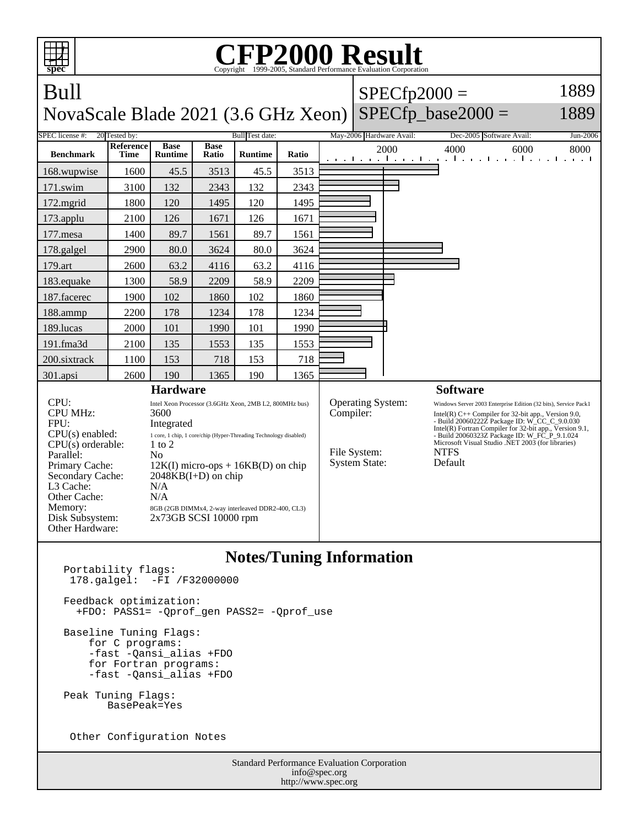

Baseline Tuning Flags:

 for C programs: -fast -Qansi\_alias +FDO for Fortran programs: -fast -Qansi\_alias +FDO

Peak Tuning Flags: BasePeak=Yes

Other Configuration Notes

Standard Performance Evaluation Corporation info@spec.org http://www.spec.org